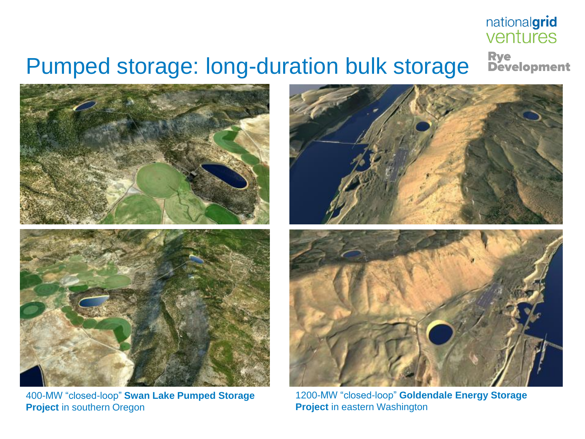## nationalgrid ventures

## Pumped storage: long-duration bulk storage

Rye<br>Development



400-MW "closed-loop" **Swan Lake Pumped Storage Project** in southern Oregon



1200-MW "closed-loop" **Goldendale Energy Storage Project** in eastern Washington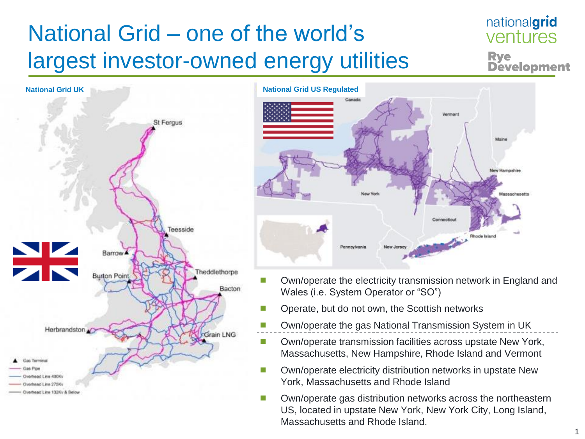# National Grid – one of the world's largest investor-owned energy utilities

### nationalgrid ventures **Rve Development**





- Own/operate the electricity transmission network in England and Wales (i.e. System Operator or "SO")
- Operate, but do not own, the Scottish networks
- Own/operate the gas National Transmission System in UK
- Own/operate transmission facilities across upstate New York, Massachusetts, New Hampshire, Rhode Island and Vermont
- Own/operate electricity distribution networks in upstate New York, Massachusetts and Rhode Island
- Own/operate gas distribution networks across the northeastern US, located in upstate New York, New York City, Long Island, Massachusetts and Rhode Island.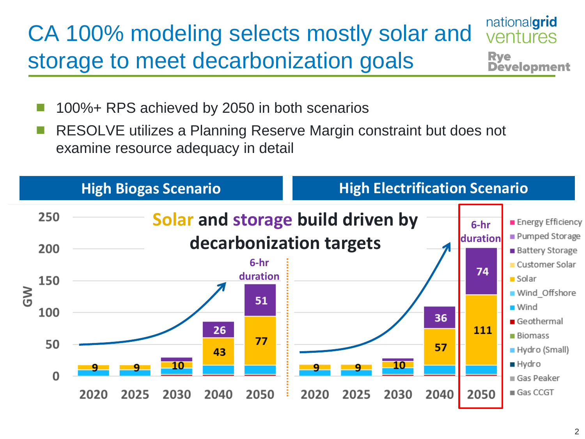#### nationalgrid CA 100% modeling selects mostly solar and ventures storage to meet decarbonization goals **Rye Development**

- 100%+ RPS achieved by 2050 in both scenarios
- RESOLVE utilizes a Planning Reserve Margin constraint but does not examine resource adequacy in detail

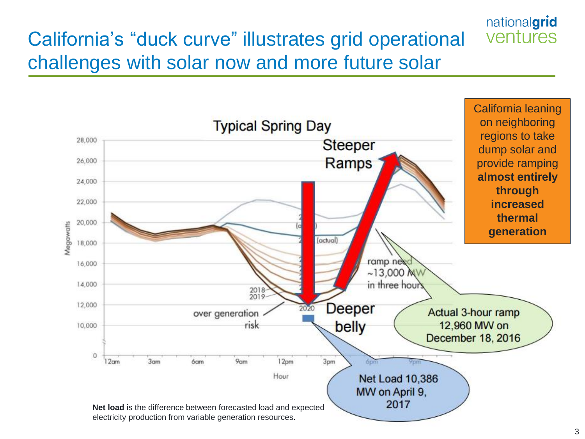#### nationalgrid ventures California's "duck curve" illustrates grid operational challenges with solar now and more future solar

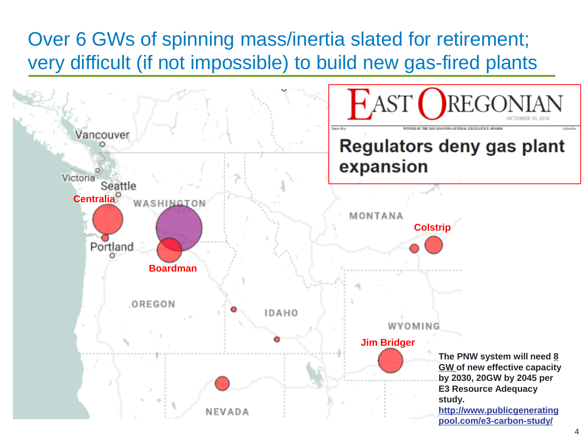## Over 6 GWs of spinning mass/inertia slated for retirement; very difficult (if not impossible) to build new gas-fired plants

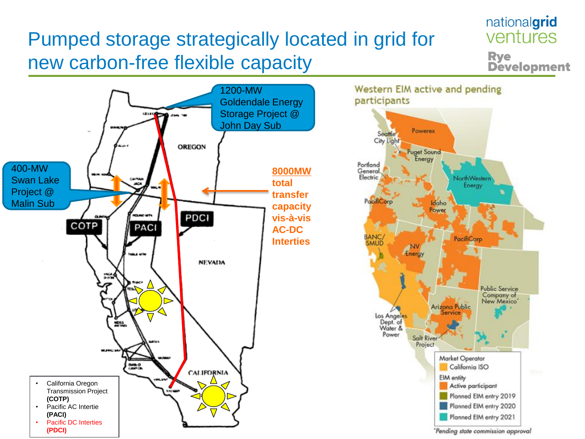## Pumped storage strategically located in grid for new carbon-free flexible capacity



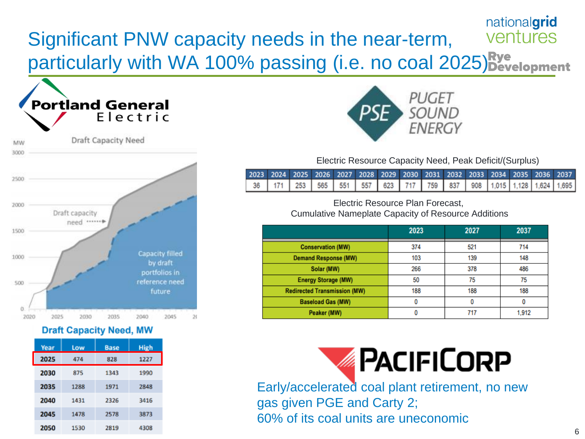#### nationalgrid ventures Significant PNW capacity needs in the near-term, particularly with WA 100% passing (i.e. no coal 2025) **Rye**



#### **Draft Capacity Need, MW**

| Year | Low  | <b>Base</b> | <b>High</b> |
|------|------|-------------|-------------|
| 2025 | 474  | 828         | 1227        |
| 2030 | 875  | 1343        | 1990        |
| 2035 | 1288 | 1971        | 2848        |
| 2040 | 1431 | 2326        | 3416        |
| 2045 | 1478 | 2578        | 3873        |
| 2050 | 1530 | 2819        | 4308        |



Electric Resource Capacity Need, Peak Deficit/(Surplus)

|  |  |  | 2023 2024 2025 2026 2027 2028 2029 2030 2031 2032 2033 2034 2035 2036 2037                     |  |  |  |  |  |
|--|--|--|------------------------------------------------------------------------------------------------|--|--|--|--|--|
|  |  |  | 36   171   253   565   551   557   623   717   759   837   908   1,015   1,128   1,624   1,695 |  |  |  |  |  |

Electric Resource Plan Forecast, Cumulative Nameplate Capacity of Resource Additions

|                                     | 2023 | 2027 | 2037  |
|-------------------------------------|------|------|-------|
| <b>Conservation (MW)</b>            | 374  | 521  | 714   |
| <b>Demand Response (MW)</b>         | 103  | 139  | 148   |
| Solar (MW)                          | 266  | 378  | 486   |
| <b>Energy Storage (MW)</b>          | 50   | 75   | 75    |
| <b>Redirected Transmission (MW)</b> | 188  | 188  | 188   |
| <b>Baseload Gas (MW)</b>            |      | 0    |       |
| Peaker (MW)                         | 0    | 717  | 1.912 |



Early/accelerated coal plant retirement, no new gas given PGE and Carty 2; 60% of its coal units are uneconomic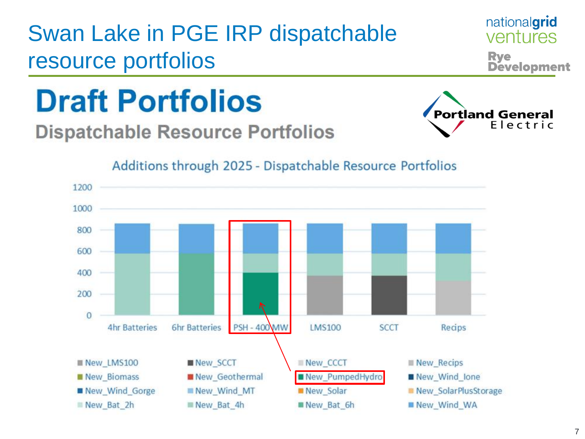# Swan Lake in PGE IRP dispatchable resource portfolios



**Rye** 

nationalgrid ventures

**Development** 

# **Draft Portfolios**

## **Dispatchable Resource Portfolios**



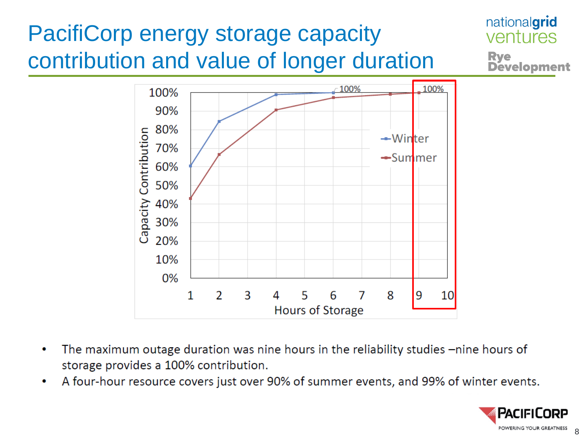#### nationalgrid PacifiCorp energy storage capacity ventures contribution and value of longer duration **Rye<br>Development**



- The maximum outage duration was nine hours in the reliability studies -nine hours of  $\bullet$ storage provides a 100% contribution.
- A four-hour resource covers just over 90% of summer events, and 99% of winter events. ۰

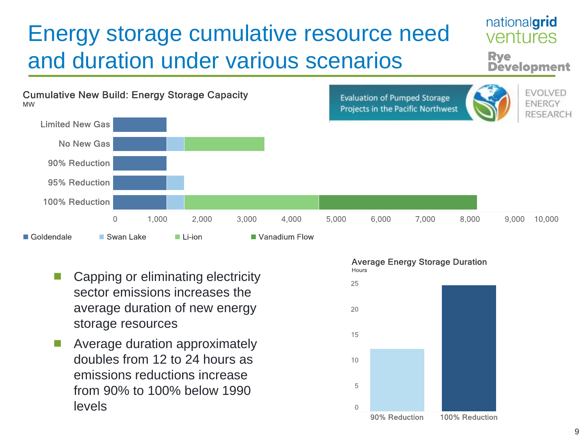## Energy storage cumulative resource need and duration under various scenarios



- Capping or eliminating electricity sector emissions increases the average duration of new energy storage resources
- Average duration approximately doubles from 12 to 24 hours as emissions reductions increase from 90% to 100% below 1990 levels



nationalgrid ventures

**Development** 

**Rve**